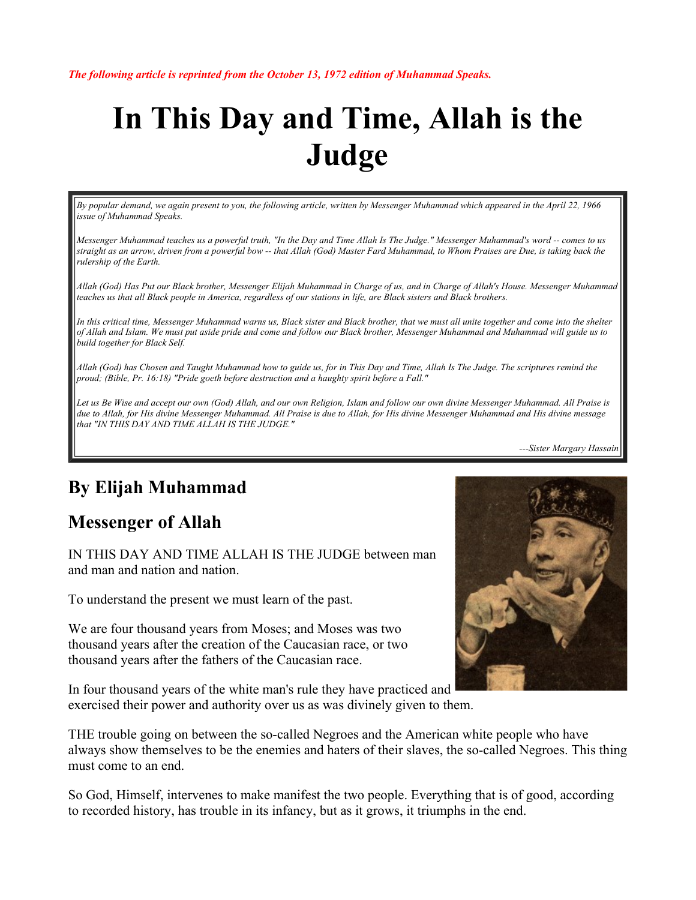## In This Day and Time, Allah is the Judge

By popular demand, we again present to you, the following article, written by Messenger Muhammad which appeared in the April 22, 1966 issue of Muhammad Speaks.

Messenger Muhammad teaches us a powerful truth, "In the Day and Time Allah Is The Judge." Messenger Muhammad's word -- comes to us straight as an arrow, driven from a powerful bow -- that Allah (God) Master Fard Muhammad, to Whom Praises are Due, is taking back the rulership of the Earth.

Allah (God) Has Put our Black brother, Messenger Elijah Muhammad in Charge of us, and in Charge of Allah's House. Messenger Muhammad teaches us that all Black people in America, regardless of our stations in life, are Black sisters and Black brothers.

In this critical time, Messenger Muhammad warns us, Black sister and Black brother, that we must all unite together and come into the shelter of Allah and Islam. We must put aside pride and come and follow our Black brother, Messenger Muhammad and Muhammad will guide us to build together for Black Self.

Allah (God) has Chosen and Taught Muhammad how to guide us, for in This Day and Time, Allah Is The Judge. The scriptures remind the proud; (Bible, Pr. 16:18) "Pride goeth before destruction and a haughty spirit before a Fall."

Let us Be Wise and accept our own (God) Allah, and our own Religion, Islam and follow our own divine Messenger Muhammad. All Praise is due to Allah, for His divine Messenger Muhammad. All Praise is due to Allah, for His divine Messenger Muhammad and His divine message that "IN THIS DAY AND TIME ALLAH IS THE JUDGE."

---Sister Margary Hassain

## By Elijah Muhammad

## Messenger of Allah

IN THIS DAY AND TIME ALLAH IS THE JUDGE between man and man and nation and nation.

To understand the present we must learn of the past.

We are four thousand years from Moses; and Moses was two thousand years after the creation of the Caucasian race, or two thousand years after the fathers of the Caucasian race.

In four thousand years of the white man's rule they have practiced and exercised their power and authority over us as was divinely given to them.



So God, Himself, intervenes to make manifest the two people. Everything that is of good, according to recorded history, has trouble in its infancy, but as it grows, it triumphs in the end.